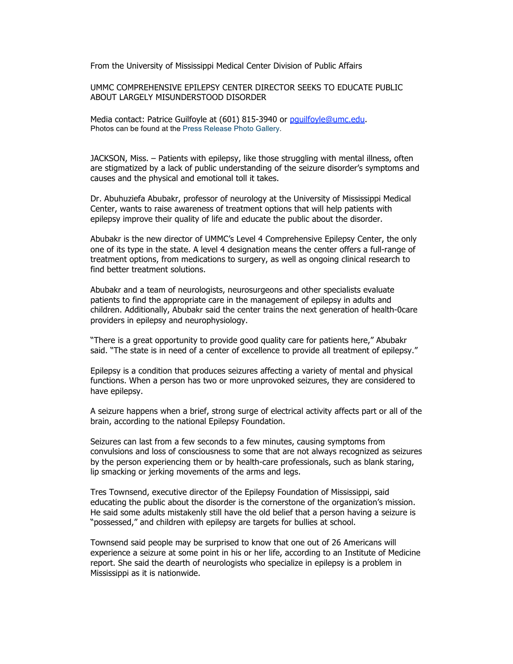From the University of Mississippi Medical Center Division of Public Affairs

UMMC COMPREHENSIVE EPILEPSY CENTER DIRECTOR SEEKS TO EDUCATE PUBLIC ABOUT LARGELY MISUNDERSTOOD DISORDER

Media contact: Patrice Guilfoyle at (601) 815-3940 or pquilfoyle@umc.edu. Photos can be found at the Press Release Photo Gallery.

JACKSON, Miss. – Patients with epilepsy, like those struggling with mental illness, often are stigmatized by a lack of public understanding of the seizure disorder's symptoms and causes and the physical and emotional toll it takes.

Dr. Abuhuziefa Abubakr, professor of neurology at the University of Mississippi Medical Center, wants to raise awareness of treatment options that will help patients with epilepsy improve their quality of life and educate the public about the disorder.

Abubakr is the new director of UMMC's Level 4 Comprehensive Epilepsy Center, the only one of its type in the state. A level 4 designation means the center offers a full-range of treatment options, from medications to surgery, as well as ongoing clinical research to find better treatment solutions.

Abubakr and a team of neurologists, neurosurgeons and other specialists evaluate patients to find the appropriate care in the management of epilepsy in adults and children. Additionally, Abubakr said the center trains the next generation of health-0care providers in epilepsy and neurophysiology.

"There is a great opportunity to provide good quality care for patients here," Abubakr said. "The state is in need of a center of excellence to provide all treatment of epilepsy."

Epilepsy is a condition that produces seizures affecting a variety of mental and physical functions. When a person has two or more unprovoked seizures, they are considered to have epilepsy.

A seizure happens when a brief, strong surge of electrical activity affects part or all of the brain, according to the national Epilepsy Foundation.

Seizures can last from a few seconds to a few minutes, causing symptoms from convulsions and loss of consciousness to some that are not always recognized as seizures by the person experiencing them or by health-care professionals, such as blank staring, lip smacking or jerking movements of the arms and legs.

Tres Townsend, executive director of the Epilepsy Foundation of Mississippi, said educating the public about the disorder is the cornerstone of the organization's mission. He said some adults mistakenly still have the old belief that a person having a seizure is "possessed," and children with epilepsy are targets for bullies at school.

Townsend said people may be surprised to know that one out of 26 Americans will experience a seizure at some point in his or her life, according to an Institute of Medicine report. She said the dearth of neurologists who specialize in epilepsy is a problem in Mississippi as it is nationwide.